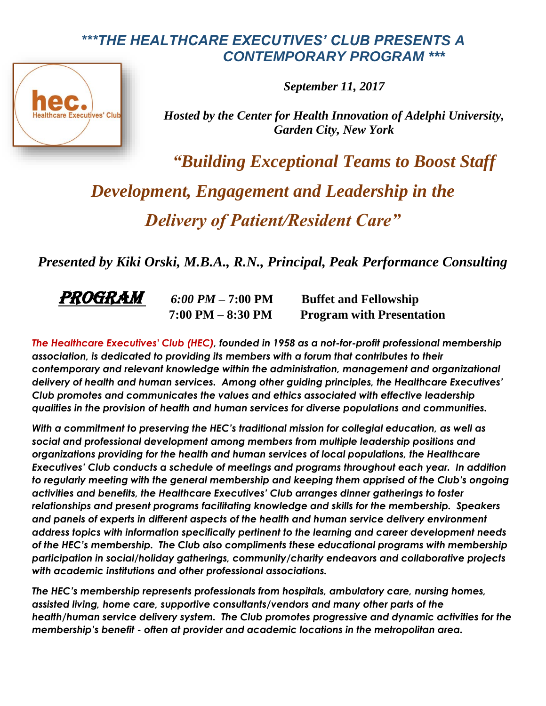## *\*\*\*THE HEALTHCARE EXECUTIVES' CLUB PRESENTS A CONTEMPORARY PROGRAM \*\*\**



*September 11, 2017*

*Hosted by the Center for Health Innovation of Adelphi University, Garden City, New York*

*"Building Exceptional Teams to Boost Staff Development, Engagement and Leadership in the Delivery of Patient/Resident Care"*

*Presented by Kiki Orski, M.B.A., R.N., Principal, Peak Performance Consulting* 



**PROGRAM** 6:00 PM – 7:00 PM Buffet and Fellowship  **7:00 PM – 8:30 PM Program with Presentation**

*The Healthcare Executives' Club (HEC), founded in 1958 as a not-for-profit professional membership association, is dedicated to providing its members with a forum that contributes to their contemporary and relevant knowledge within the administration, management and organizational delivery of health and human services. Among other guiding principles, the Healthcare Executives' Club promotes and communicates the values and ethics associated with effective leadership qualities in the provision of health and human services for diverse populations and communities.*

*With a commitment to preserving the HEC's traditional mission for collegial education, as well as social and professional development among members from multiple leadership positions and organizations providing for the health and human services of local populations, the Healthcare Executives' Club conducts a schedule of meetings and programs throughout each year. In addition to regularly meeting with the general membership and keeping them apprised of the Club's ongoing activities and benefits, the Healthcare Executives' Club arranges dinner gatherings to foster relationships and present programs facilitating knowledge and skills for the membership. Speakers and panels of experts in different aspects of the health and human service delivery environment address topics with information specifically pertinent to the learning and career development needs of the HEC's membership. The Club also compliments these educational programs with membership participation in social/holiday gatherings, community/charity endeavors and collaborative projects with academic institutions and other professional associations.*

*The HEC's membership represents professionals from hospitals, ambulatory care, nursing homes, assisted living, home care, supportive consultants/vendors and many other parts of the health/human service delivery system. The Club promotes progressive and dynamic activities for the membership's benefit - often at provider and academic locations in the metropolitan area.*